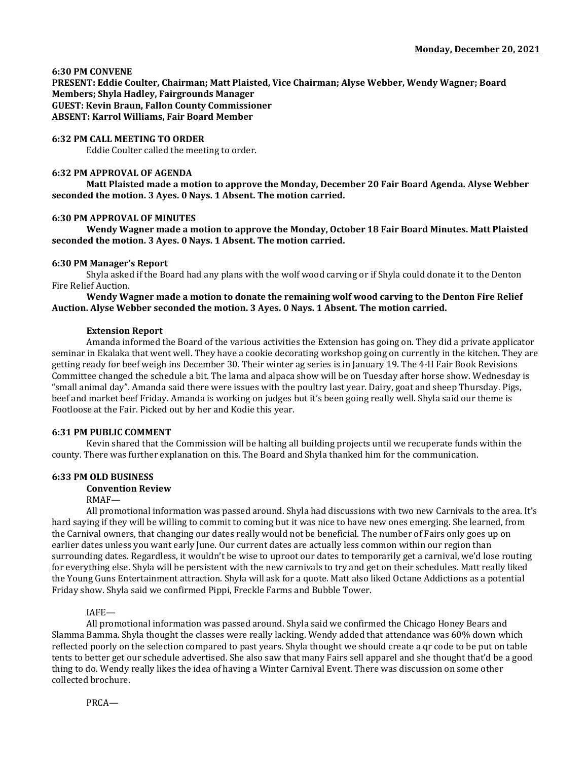### **6:30 PM CONVENE**

**PRESENT: Eddie Coulter, Chairman; Matt Plaisted, Vice Chairman; Alyse Webber, Wendy Wagner; Board Members; Shyla Hadley, Fairgrounds Manager GUEST: Kevin Braun, Fallon County Commissioner ABSENT: Karrol Williams, Fair Board Member**

# **6:32 PM CALL MEETING TO ORDER**

Eddie Coulter called the meeting to order.

## **6:32 PM APPROVAL OF AGENDA**

**Matt Plaisted made a motion to approve the Monday, December 20 Fair Board Agenda. Alyse Webber seconded the motion. 3 Ayes. 0 Nays. 1 Absent. The motion carried.**

## **6:30 PM APPROVAL OF MINUTES**

**Wendy Wagner made a motion to approve the Monday, October 18 Fair Board Minutes. Matt Plaisted seconded the motion. 3 Ayes. 0 Nays. 1 Absent. The motion carried.**

## **6:30 PM Manager's Report**

Shyla asked if the Board had any plans with the wolf wood carving or if Shyla could donate it to the Denton Fire Relief Auction.

**Wendy Wagner made a motion to donate the remaining wolf wood carving to the Denton Fire Relief Auction. Alyse Webber seconded the motion. 3 Ayes. 0 Nays. 1 Absent. The motion carried.**

## **Extension Report**

Amanda informed the Board of the various activities the Extension has going on. They did a private applicator seminar in Ekalaka that went well. They have a cookie decorating workshop going on currently in the kitchen. They are getting ready for beef weigh ins December 30. Their winter ag series is in January 19. The 4-H Fair Book Revisions Committee changed the schedule a bit. The lama and alpaca show will be on Tuesday after horse show. Wednesday is "small animal day". Amanda said there were issues with the poultry last year. Dairy, goat and sheep Thursday. Pigs, beef and market beef Friday. Amanda is working on judges but it's been going really well. Shyla said our theme is Footloose at the Fair. Picked out by her and Kodie this year.

## **6:31 PM PUBLIC COMMENT**

Kevin shared that the Commission will be halting all building projects until we recuperate funds within the county. There was further explanation on this. The Board and Shyla thanked him for the communication.

# **6:33 PM OLD BUSINESS**

# **Convention Review**

RMAF—

All promotional information was passed around. Shyla had discussions with two new Carnivals to the area. It's hard saying if they will be willing to commit to coming but it was nice to have new ones emerging. She learned, from the Carnival owners, that changing our dates really would not be beneficial. The number of Fairs only goes up on earlier dates unless you want early June. Our current dates are actually less common within our region than surrounding dates. Regardless, it wouldn't be wise to uproot our dates to temporarily get a carnival, we'd lose routing for everything else. Shyla will be persistent with the new carnivals to try and get on their schedules. Matt really liked the Young Guns Entertainment attraction. Shyla will ask for a quote. Matt also liked Octane Addictions as a potential Friday show. Shyla said we confirmed Pippi, Freckle Farms and Bubble Tower.

### IAFE—

All promotional information was passed around. Shyla said we confirmed the Chicago Honey Bears and Slamma Bamma. Shyla thought the classes were really lacking. Wendy added that attendance was 60% down which reflected poorly on the selection compared to past years. Shyla thought we should create a qr code to be put on table tents to better get our schedule advertised. She also saw that many Fairs sell apparel and she thought that'd be a good thing to do. Wendy really likes the idea of having a Winter Carnival Event. There was discussion on some other collected brochure.

PRCA—